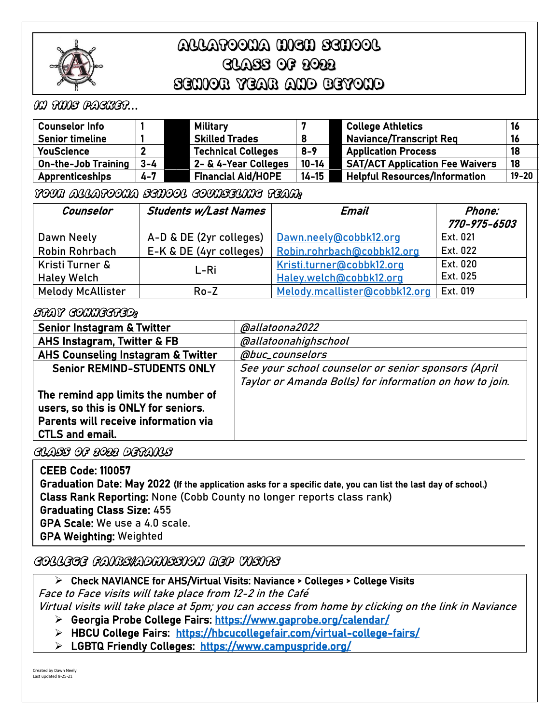

# ALLATOONA HIGH SCHOOL CLASS OF 2022 SENIOR YEAR AND BEYOND

# In this packet*…*

| <b>Counselor Info</b>      |         | Military                  |           | <b>College Athletics</b>               |           |
|----------------------------|---------|---------------------------|-----------|----------------------------------------|-----------|
| <b>Senior timeline</b>     |         | <b>Skilled Trades</b>     |           | Naviance/Transcript Req                |           |
| <b>YouScience</b>          |         | <b>Technical Colleges</b> | $8 - 9$   | <b>Application Process</b>             | 18        |
| <b>On-the-Job Training</b> | $3 - 4$ | 2- & 4-Year Colleges      | $10 - 14$ | <b>SAT/ACT Application Fee Waivers</b> | 18        |
| <b>Apprenticeships</b>     | $4 - 7$ | <b>Financial Aid/HOPE</b> | $14 - 15$ | <b>Helpful Resources/Information</b>   | $19 - 20$ |

### Your Allatoona School Counseling Team:

| Counselor                | <b>Students w/Last Names</b> | Email                         | Phone:       |
|--------------------------|------------------------------|-------------------------------|--------------|
|                          |                              |                               | 770-975-6503 |
| Dawn Neely               | A-D & DE (2yr colleges)      | Dawn.neely@cobbk12.org        | Ext. 021     |
| Robin Rohrbach           | E-K & DE (4yr colleges)      | Robin.rohrbach@cobbk12.org    | Ext. 022     |
| Kristi Turner &          | L-Ri                         | Kristi.turner@cobbk12.org     | Ext. 020     |
| <b>Haley Welch</b>       |                              | Haley.welch@cobbk12.org       | Ext. 025     |
| <b>Melody McAllister</b> | $Ro - Z$                     | Melody.mcallister@cobbk12.org | Ext. 019     |

### Stay connected:

| <b>Senior Instagram &amp; Twitter</b>         | @allatoona2022                                          |
|-----------------------------------------------|---------------------------------------------------------|
| AHS Instagram, Twitter & FB                   | @allatoonahighschool                                    |
| <b>AHS Counseling Instagram &amp; Twitter</b> | @buc_counselors                                         |
| <b>Senior REMIND-STUDENTS ONLY</b>            | See your school counselor or senior sponsors (April     |
|                                               | Taylor or Amanda Bolls) for information on how to join. |
| The remind app limits the number of           |                                                         |
| users, so this is ONLY for seniors.           |                                                         |
| Parents will receive information via          |                                                         |
| <b>CTLS and email.</b>                        |                                                         |

Class of 2022 details

  $\mathbb{R}$ CEEB Code: 110057 Graduation Date: May 2022 (If the application asks for a specific date, you can list the last day of school.) Class Rank Reporting: None (Cobb County no longer reports class rank) Graduating Class Size: 455 GPA Scale: We use a 4.0 scale. GPA Weighting: Weighted

# College fairs/admission Rep Visits

➢ Check NAVIANCE for AHS/Virtual Visits: Naviance > Colleges > College Visits

Face to Face visits will take place from 12-2 in the Café

Virtual visits will take place at 5pm; you can access from home by clicking on the link in Naviance

- ➢ Georgia Probe College Fairs:<https://www.gaprobe.org/calendar/>
- ➢ HBCU College Fairs: <https://hbcucollegefair.com/virtual-college-fairs/>
- ➢ LGBTQ Friendly Colleges: <https://www.campuspride.org/>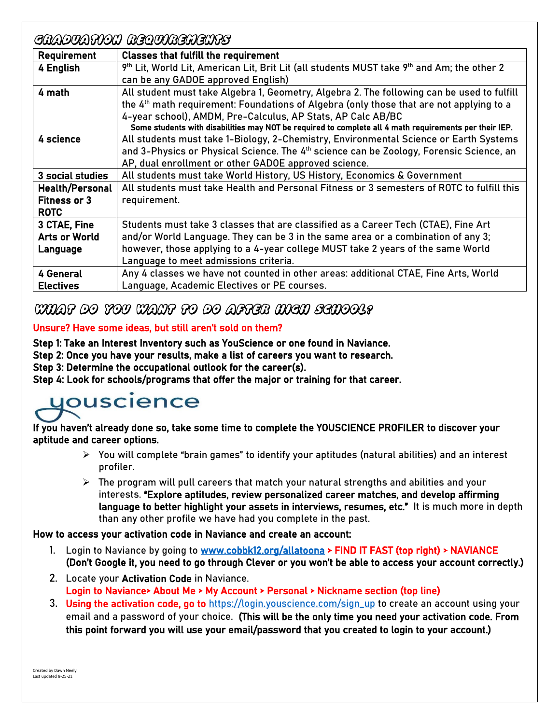|                        | GRADUATION REQUIREMENTS                                                                                            |
|------------------------|--------------------------------------------------------------------------------------------------------------------|
| Requirement            | <b>Classes that fulfill the requirement</b>                                                                        |
| 4 English              | 9 <sup>th</sup> Lit, World Lit, American Lit, Brit Lit (all students MUST take 9 <sup>th</sup> and Am; the other 2 |
|                        | can be any GADOE approved English)                                                                                 |
| 4 math                 | All student must take Algebra 1, Geometry, Algebra 2. The following can be used to fulfill                         |
|                        | the 4 <sup>th</sup> math requirement: Foundations of Algebra (only those that are not applying to a                |
|                        | 4-year school), AMDM, Pre-Calculus, AP Stats, AP Calc AB/BC                                                        |
|                        | Some students with disabilities may NOT be required to complete all 4 math requirements per their IEP.             |
| 4 science              | All students must take 1-Biology, 2-Chemistry, Environmental Science or Earth Systems                              |
|                        | and 3-Physics or Physical Science. The 4 <sup>th</sup> science can be Zoology, Forensic Science, an                |
|                        | AP, dual enrollment or other GADOE approved science.                                                               |
| 3 social studies       | All students must take World History, US History, Economics & Government                                           |
| <b>Health/Personal</b> | All students must take Health and Personal Fitness or 3 semesters of ROTC to fulfill this                          |
| <b>Fitness or 3</b>    | requirement.                                                                                                       |
| <b>ROTC</b>            |                                                                                                                    |
| 3 CTAE, Fine           | Students must take 3 classes that are classified as a Career Tech (CTAE), Fine Art                                 |
| <b>Arts or World</b>   | and/or World Language. They can be 3 in the same area or a combination of any 3;                                   |
| Language               | however, those applying to a 4-year college MUST take 2 years of the same World                                    |
|                        | Language to meet admissions criteria.                                                                              |
| 4 General              | Any 4 classes we have not counted in other areas: additional CTAE, Fine Arts, World                                |
| <b>Electives</b>       | Language, Academic Electives or PE courses.                                                                        |

# What do you want to do after high school?

# Unsure? Have some ideas, but still aren't sold on them?

Step 1: Take an Interest Inventory such as YouScience or one found in Naviance.

Step 2: Once you have your results, make a list of careers you want to research.

Step 3: Determine the occupational outlook for the career(s).

Step 4: Look for schools/programs that offer the major or training for that career.

# uouscience

If you haven't already done so, take some time to complete the YOUSCIENCE PROFILER to discover your aptitude and career options.

- $\triangleright$  You will complete "brain games" to identify your aptitudes (natural abilities) and an interest profiler.
- $\triangleright$  The program will pull careers that match your natural strengths and abilities and your interests. "Explore aptitudes, review personalized career matches, and develop affirming language to better highlight your assets in interviews, resumes, etc." It is much more in depth than any other profile we have had you complete in the past.

How to access your activation code in Naviance and create an account:

- 1. Login to Naviance by going to [www.cobbk12.org/allatoona](http://www.cobbk12.org/allatoona) > FIND IT FAST (top right) > NAVIANCE (Don't Google it, you need to go through Clever or you won't be able to access your account correctly.)
- 2. Locate your Activation Code in Naviance. Login to Naviance> About Me > My Account > Personal > Nickname section (top line)
- 3. Using the activation code, go to [https://login.youscience.com/sign\\_up](https://login.youscience.com/sign_up) to create an account using your email and a password of your choice. (This will be the only time you need your activation code. From this point forward you will use your email/password that you created to login to your account.)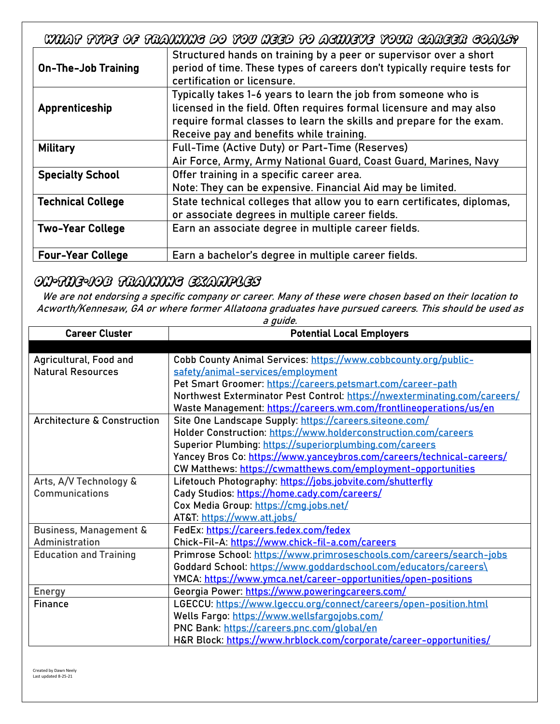What type of training do you need to achieve your career goals?

| <b>On-The-Job Training</b> | Structured hands on training by a peer or supervisor over a short<br>period of time. These types of careers don't typically require tests for<br>certification or licensure.                                                                              |
|----------------------------|-----------------------------------------------------------------------------------------------------------------------------------------------------------------------------------------------------------------------------------------------------------|
| Apprenticeship             | Typically takes 1-6 years to learn the job from someone who is<br>licensed in the field. Often requires formal licensure and may also<br>require formal classes to learn the skills and prepare for the exam.<br>Receive pay and benefits while training. |
| Military                   | Full-Time (Active Duty) or Part-Time (Reserves)<br>Air Force, Army, Army National Guard, Coast Guard, Marines, Navy                                                                                                                                       |
| <b>Specialty School</b>    | Offer training in a specific career area.<br>Note: They can be expensive. Financial Aid may be limited.                                                                                                                                                   |
| <b>Technical College</b>   | State technical colleges that allow you to earn certificates, diplomas,<br>or associate degrees in multiple career fields.                                                                                                                                |
| <b>Two-Year College</b>    | Earn an associate degree in multiple career fields.                                                                                                                                                                                                       |
| <b>Four-Year College</b>   | Earn a bachelor's degree in multiple career fields.                                                                                                                                                                                                       |

# On-the-Job Training examples

We are not endorsing a specific company or career. Many of these were chosen based on their location to Acworth/Kennesaw, GA or where former Allatoona graduates have pursued careers. This should be used as  $nida$ 

| <b>Career Cluster</b>                  | a yulue.<br><b>Potential Local Employers</b>                              |
|----------------------------------------|---------------------------------------------------------------------------|
|                                        |                                                                           |
| Agricultural, Food and                 | Cobb County Animal Services: https://www.cobbcounty.org/public-           |
| <b>Natural Resources</b>               | safety/animal-services/employment                                         |
|                                        | Pet Smart Groomer: https://careers.petsmart.com/career-path               |
|                                        | Northwest Exterminator Pest Control: https://nwexterminating.com/careers/ |
|                                        | Waste Management: https://careers.wm.com/frontlineoperations/us/en        |
| <b>Architecture &amp; Construction</b> | Site One Landscape Supply: https://careers.siteone.com/                   |
|                                        | Holder Construction: https://www.holderconstruction.com/careers           |
|                                        | Superior Plumbing: https://superiorplumbing.com/careers                   |
|                                        | Yancey Bros Co: https://www.yanceybros.com/careers/technical-careers/     |
|                                        | CW Matthews: https://cwmatthews.com/employment-opportunities              |
| Arts, A/V Technology &                 | Lifetouch Photography: https://jobs.jobvite.com/shutterfly                |
| Communications                         | Cady Studios: https://home.cady.com/careers/                              |
|                                        | Cox Media Group: https://cmg.jobs.net/                                    |
|                                        | AT&T: https://www.att.jobs/                                               |
| Business, Management &                 | FedEx: https://careers.fedex.com/fedex                                    |
| Administration                         | Chick-Fil-A: https://www.chick-fil-a.com/careers                          |
| <b>Education and Training</b>          | Primrose School: https://www.primroseschools.com/careers/search-jobs      |
|                                        | Goddard School: https://www.goddardschool.com/educators/careers\          |
|                                        | YMCA: https://www.ymca.net/career-opportunities/open-positions            |
| Energy                                 | Georgia Power: https://www.poweringcareers.com/                           |
| Finance                                | LGECCU: https://www.lgeccu.org/connect/careers/open-position.html         |
|                                        | Wells Fargo: https://www.wellsfargojobs.com/                              |
|                                        | PNC Bank: https://careers.pnc.com/global/en                               |
|                                        | H&R Block: https://www.hrblock.com/corporate/career-opportunities/        |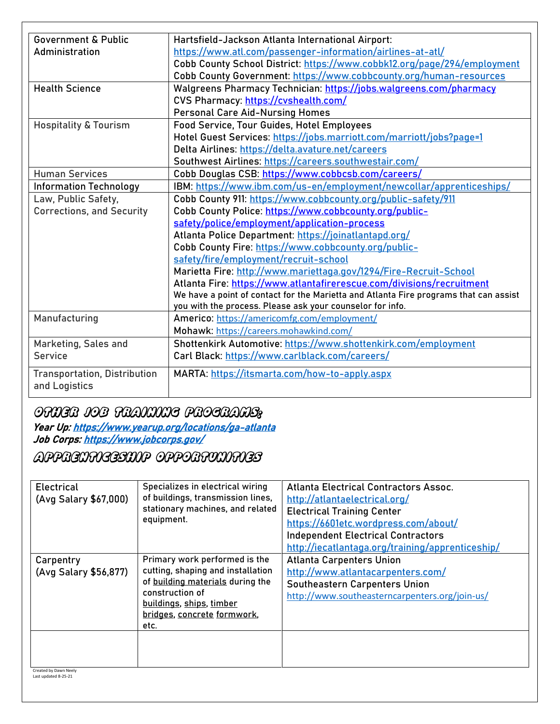| <b>Government &amp; Public</b>      | Hartsfield-Jackson Atlanta International Airport:                                     |
|-------------------------------------|---------------------------------------------------------------------------------------|
| Administration                      | https://www.atl.com/passenger-information/airlines-at-atl/                            |
|                                     | Cobb County School District: https://www.cobbk12.org/page/294/employment              |
|                                     | Cobb County Government: https://www.cobbcounty.org/human-resources                    |
| <b>Health Science</b>               |                                                                                       |
|                                     | Walgreens Pharmacy Technician: https://jobs.walgreens.com/pharmacy                    |
|                                     | CVS Pharmacy: https://cvshealth.com/                                                  |
|                                     | <b>Personal Care Aid-Nursing Homes</b>                                                |
| <b>Hospitality &amp; Tourism</b>    | Food Service, Tour Guides, Hotel Employees                                            |
|                                     | Hotel Guest Services: https://jobs.marriott.com/marriott/jobs?page=1                  |
|                                     | Delta Airlines: https://delta.avature.net/careers                                     |
|                                     | Southwest Airlines: https://careers.southwestair.com/                                 |
| <b>Human Services</b>               | Cobb Douglas CSB: https://www.cobbcsb.com/careers/                                    |
| <b>Information Technology</b>       | IBM: https://www.ibm.com/us-en/employment/newcollar/apprenticeships/                  |
| Law, Public Safety,                 | Cobb County 911: https://www.cobbcounty.org/public-safety/911                         |
| <b>Corrections, and Security</b>    | Cobb County Police: https://www.cobbcounty.org/public-                                |
|                                     | safety/police/employment/application-process                                          |
|                                     | Atlanta Police Department: https://joinatlantapd.org/                                 |
|                                     | Cobb County Fire: https://www.cobbcounty.org/public-                                  |
|                                     | safety/fire/employment/recruit-school                                                 |
|                                     | Marietta Fire: http://www.mariettaga.gov/1294/Fire-Recruit-School                     |
|                                     | Atlanta Fire: https://www.atlantafirerescue.com/divisions/recruitment                 |
|                                     | We have a point of contact for the Marietta and Atlanta Fire programs that can assist |
|                                     | you with the process. Please ask your counselor for info.                             |
| Manufacturing                       | Americo: https://americomfg.com/employment/                                           |
|                                     | Mohawk: https://careers.mohawkind.com/                                                |
| Marketing, Sales and                | Shottenkirk Automotive: https://www.shottenkirk.com/employment                        |
| <b>Service</b>                      | Carl Black: https://www.carlblack.com/careers/                                        |
| <b>Transportation, Distribution</b> | MARTA: https://itsmarta.com/how-to-apply.aspx                                         |
| and Logistics                       |                                                                                       |
|                                     |                                                                                       |

# Other Job Training programs:

Year Up[: https://www.yearup.org/locations/ga-atlanta](https://www.yearup.org/locations/ga-atlanta)  Job Corps[: https://www.jobcorps.gov/](https://www.jobcorps.gov/) 

Apprenticeship opportunities

| <b>Electrical</b><br>(Avg Salary \$67,000) | Specializes in electrical wiring<br>of buildings, transmission lines,<br>stationary machines, and related<br>equipment.                                                                      | Atlanta Electrical Contractors Assoc.<br>http://atlantaelectrical.org/<br><b>Electrical Training Center</b><br>https://6601etc.wordpress.com/about/<br><b>Independent Electrical Contractors</b><br>http://iecatlantaga.org/training/apprenticeship/ |
|--------------------------------------------|----------------------------------------------------------------------------------------------------------------------------------------------------------------------------------------------|------------------------------------------------------------------------------------------------------------------------------------------------------------------------------------------------------------------------------------------------------|
| Carpentry<br>(Avg Salary \$56,877)         | Primary work performed is the<br>cutting, shaping and installation<br>of building materials during the<br>construction of<br>buildings, ships, timber<br>bridges, concrete formwork,<br>etc. | <b>Atlanta Carpenters Union</b><br>http://www.atlantacarpenters.com/<br>Southeastern Carpenters Union<br>http://www.southeasterncarpenters.org/join-us/                                                                                              |
| Created by Dawn Neely                      |                                                                                                                                                                                              |                                                                                                                                                                                                                                                      |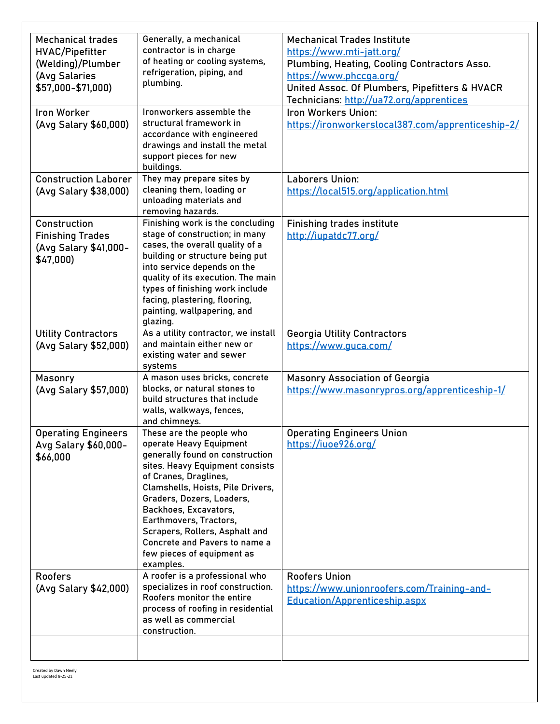| <b>Mechanical trades</b>    | Generally, a mechanical                                      | <b>Mechanical Trades Institute</b>                |
|-----------------------------|--------------------------------------------------------------|---------------------------------------------------|
| <b>HVAC/Pipefitter</b>      | contractor is in charge                                      | https://www.mti-jatt.org/                         |
| (Welding)/Plumber           | of heating or cooling systems,                               | Plumbing, Heating, Cooling Contractors Asso.      |
| (Avg Salaries               | refrigeration, piping, and                                   | https://www.phccga.org/                           |
| \$57,000-\$71,000)          | plumbing.                                                    | United Assoc. Of Plumbers, Pipefitters & HVACR    |
|                             |                                                              | Technicians: http://ua72.org/apprentices          |
| <b>Iron Worker</b>          | Ironworkers assemble the                                     | Iron Workers Union:                               |
| (Avg Salary \$60,000)       | structural framework in                                      | https://ironworkerslocal387.com/apprenticeship-2/ |
|                             | accordance with engineered                                   |                                                   |
|                             | drawings and install the metal                               |                                                   |
|                             | support pieces for new                                       |                                                   |
|                             | buildings.                                                   |                                                   |
| <b>Construction Laborer</b> | They may prepare sites by                                    | Laborers Union:                                   |
| (Avg Salary \$38,000)       | cleaning them, loading or<br>unloading materials and         | https://local515.org/application.html             |
|                             | removing hazards.                                            |                                                   |
| Construction                | Finishing work is the concluding                             | <b>Finishing trades institute</b>                 |
| <b>Finishing Trades</b>     | stage of construction; in many                               | http://iupatdc77.org/                             |
| (Avg Salary \$41,000-       | cases, the overall quality of a                              |                                                   |
| \$47,000                    | building or structure being put                              |                                                   |
|                             | into service depends on the                                  |                                                   |
|                             | quality of its execution. The main                           |                                                   |
|                             | types of finishing work include                              |                                                   |
|                             | facing, plastering, flooring,<br>painting, wallpapering, and |                                                   |
|                             | glazing.                                                     |                                                   |
| <b>Utility Contractors</b>  | As a utility contractor, we install                          | <b>Georgia Utility Contractors</b>                |
| (Avg Salary \$52,000)       | and maintain either new or                                   | https://www.guca.com/                             |
|                             | existing water and sewer                                     |                                                   |
|                             | systems                                                      |                                                   |
| <b>Masonry</b>              | A mason uses bricks, concrete                                | <b>Masonry Association of Georgia</b>             |
| (Avg Salary \$57,000)       | blocks, or natural stones to                                 | https://www.masonrypros.org/apprenticeship-1/     |
|                             | build structures that include<br>walls, walkways, fences,    |                                                   |
|                             | and chimneys.                                                |                                                   |
| <b>Operating Engineers</b>  | These are the people who                                     | <b>Operating Engineers Union</b>                  |
| Avg Salary \$60,000-        | operate Heavy Equipment                                      | https://iuoe926.org/                              |
| \$66,000                    | generally found on construction                              |                                                   |
|                             | sites. Heavy Equipment consists                              |                                                   |
|                             | of Cranes, Draglines,                                        |                                                   |
|                             | Clamshells, Hoists, Pile Drivers,                            |                                                   |
|                             | Graders, Dozers, Loaders,                                    |                                                   |
|                             | Backhoes, Excavators,<br>Earthmovers, Tractors,              |                                                   |
|                             | Scrapers, Rollers, Asphalt and                               |                                                   |
|                             | Concrete and Pavers to name a                                |                                                   |
|                             | few pieces of equipment as                                   |                                                   |
|                             | examples.                                                    |                                                   |
| <b>Roofers</b>              | A roofer is a professional who                               | <b>Roofers Union</b>                              |
| (Avg Salary \$42,000)       | specializes in roof construction.                            | https://www.unionroofers.com/Training-and-        |
|                             | Roofers monitor the entire                                   | <b>Education/Apprenticeship.aspx</b>              |
|                             | process of roofing in residential<br>as well as commercial   |                                                   |
|                             | construction.                                                |                                                   |
|                             |                                                              |                                                   |
|                             |                                                              |                                                   |
|                             |                                                              |                                                   |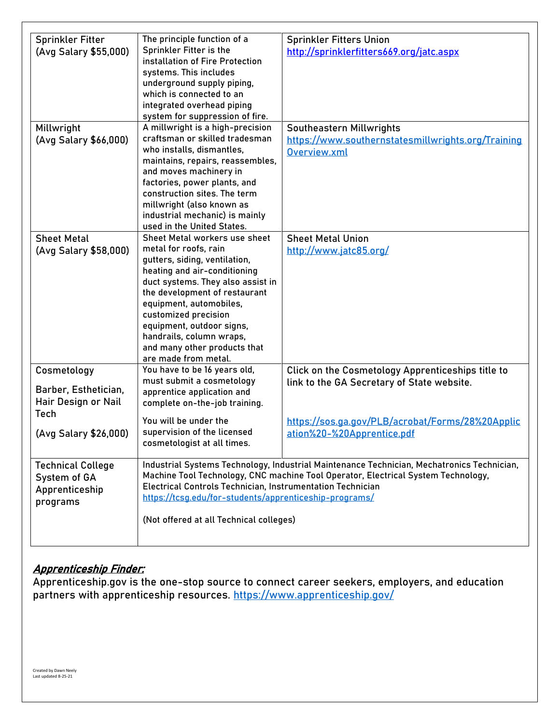| <b>Sprinkler Fitter</b>  | The principle function of a                                | <b>Sprinkler Fitters Union</b>                                                             |  |
|--------------------------|------------------------------------------------------------|--------------------------------------------------------------------------------------------|--|
| (Avg Salary \$55,000)    | Sprinkler Fitter is the                                    | http://sprinklerfitters669.org/jatc.aspx                                                   |  |
|                          | installation of Fire Protection                            |                                                                                            |  |
|                          | systems. This includes                                     |                                                                                            |  |
|                          | underground supply piping,                                 |                                                                                            |  |
|                          | which is connected to an                                   |                                                                                            |  |
|                          | integrated overhead piping                                 |                                                                                            |  |
|                          | system for suppression of fire.                            |                                                                                            |  |
| Millwright               | A millwright is a high-precision                           | Southeastern Millwrights                                                                   |  |
| (Avg Salary \$66,000)    | craftsman or skilled tradesman                             | https://www.southernstatesmillwrights.org/Training                                         |  |
|                          | who installs, dismantles,                                  | Overview.xml                                                                               |  |
|                          | maintains, repairs, reassembles,                           |                                                                                            |  |
|                          | and moves machinery in                                     |                                                                                            |  |
|                          | factories, power plants, and                               |                                                                                            |  |
|                          | construction sites. The term                               |                                                                                            |  |
|                          | millwright (also known as                                  |                                                                                            |  |
|                          | industrial mechanic) is mainly                             |                                                                                            |  |
|                          | used in the United States.                                 |                                                                                            |  |
| <b>Sheet Metal</b>       | Sheet Metal workers use sheet                              | <b>Sheet Metal Union</b>                                                                   |  |
|                          | metal for roofs, rain                                      |                                                                                            |  |
| (Avg Salary \$58,000)    | gutters, siding, ventilation,                              | http://www.jatc85.org/                                                                     |  |
|                          |                                                            |                                                                                            |  |
|                          | heating and air-conditioning                               |                                                                                            |  |
|                          | duct systems. They also assist in                          |                                                                                            |  |
|                          | the development of restaurant                              |                                                                                            |  |
|                          | equipment, automobiles,                                    |                                                                                            |  |
|                          | customized precision                                       |                                                                                            |  |
|                          | equipment, outdoor signs,                                  |                                                                                            |  |
|                          | handrails, column wraps,                                   |                                                                                            |  |
|                          | and many other products that                               |                                                                                            |  |
|                          | are made from metal.                                       |                                                                                            |  |
| Cosmetology              | You have to be 16 years old,                               | Click on the Cosmetology Apprenticeships title to                                          |  |
|                          | must submit a cosmetology                                  | link to the GA Secretary of State website.                                                 |  |
| Barber, Esthetician,     | apprentice application and                                 |                                                                                            |  |
| Hair Design or Nail      | complete on-the-job training.                              |                                                                                            |  |
| Tech                     |                                                            |                                                                                            |  |
|                          | You will be under the                                      | https://sos.ga.gov/PLB/acrobat/Forms/28%20Applic                                           |  |
| (Avg Salary \$26,000)    | supervision of the licensed                                | ation%20-%20Apprentice.pdf                                                                 |  |
|                          | cosmetologist at all times.                                |                                                                                            |  |
|                          |                                                            |                                                                                            |  |
| <b>Technical College</b> |                                                            | Industrial Systems Technology, Industrial Maintenance Technician, Mechatronics Technician, |  |
| System of GA             |                                                            | Machine Tool Technology, CNC machine Tool Operator, Electrical System Technology,          |  |
| Apprenticeship           | Electrical Controls Technician, Instrumentation Technician |                                                                                            |  |
| programs                 | https://tcsg.edu/for-students/apprenticeship-programs/     |                                                                                            |  |
|                          |                                                            |                                                                                            |  |
|                          | (Not offered at all Technical colleges)                    |                                                                                            |  |
|                          |                                                            |                                                                                            |  |
|                          |                                                            |                                                                                            |  |

# Apprenticeship Finder:

Apprenticeship.gov is the one-stop source to connect career seekers, employers, and education partners with apprenticeship resources.<https://www.apprenticeship.gov/>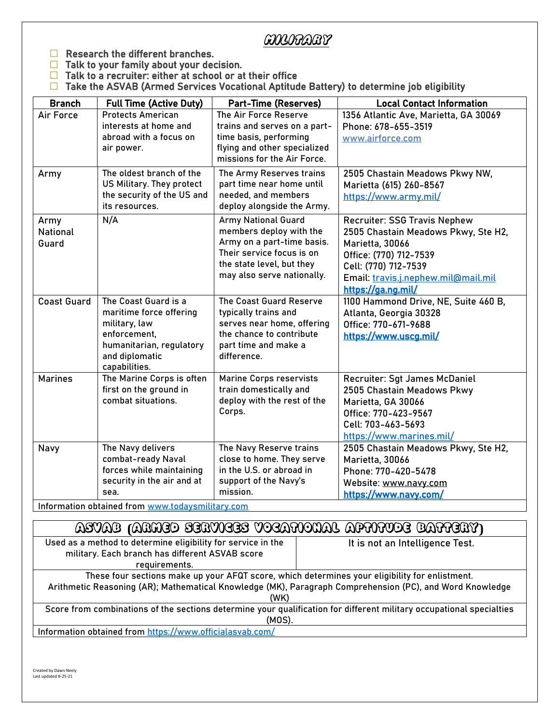# Military

- $\Box$  Research the different branches.
- $\Box$  Talk to your family about your decision.
- $\Box$  Talk to a recruiter: either at school or at their office
- $\Box$  Take the ASVAB (Armed Services Vocational Aptitude Battery) to determine job eligibility

| <b>Branch</b>                    | <b>Full Time (Active Duty)</b>                                                                                                                  | <b>Part-Time (Reserves)</b>                                                                                                                                                 | <b>Local Contact Information</b>                                                                                                                                                                             |
|----------------------------------|-------------------------------------------------------------------------------------------------------------------------------------------------|-----------------------------------------------------------------------------------------------------------------------------------------------------------------------------|--------------------------------------------------------------------------------------------------------------------------------------------------------------------------------------------------------------|
| Air Force                        | <b>Protects American</b><br>interests at home and<br>abroad with a focus on<br>air power.                                                       | The Air Force Reserve<br>trains and serves on a part-<br>time basis, performing<br>flying and other specialized<br>missions for the Air Force.                              | 1356 Atlantic Ave, Marietta, GA 30069<br>Phone: 678-655-3519<br>www.airforce.com                                                                                                                             |
| Army                             | The oldest branch of the<br>US Military. They protect<br>the security of the US and<br>its resources.                                           | The Army Reserves trains<br>part time near home until<br>needed, and members<br>deploy alongside the Army.                                                                  | 2505 Chastain Meadows Pkwy NW,<br>Marietta (615) 260-8567<br>https://www.army.mil/                                                                                                                           |
| Army<br><b>National</b><br>Guard | N/A                                                                                                                                             | <b>Army National Guard</b><br>members deploy with the<br>Army on a part-time basis.<br>Their service focus is on<br>the state level, but they<br>may also serve nationally. | <b>Recruiter: SSG Travis Nephew</b><br>2505 Chastain Meadows Pkwy, Ste H2,<br>Marietta, 30066<br>Office: (770) 712-7539<br>Cell: (770) 712-7539<br>Email: travis.j.nephew.mil@mail.mil<br>https://ga.ng.mil/ |
| <b>Coast Guard</b>               | The Coast Guard is a<br>maritime force offering<br>military, law<br>enforcement,<br>humanitarian, regulatory<br>and diplomatic<br>capabilities. | The Coast Guard Reserve<br>typically trains and<br>serves near home, offering<br>the chance to contribute<br>part time and make a<br>difference.                            | 1100 Hammond Drive, NE, Suite 460 B,<br>Atlanta, Georgia 30328<br>Office: 770-671-9688<br>https://www.uscg.mil/                                                                                              |
| <b>Marines</b>                   | The Marine Corps is often<br>first on the ground in<br>combat situations.                                                                       | <b>Marine Corps reservists</b><br>train domestically and<br>deploy with the rest of the<br>Corps.                                                                           | Recruiter: Sgt James McDaniel<br>2505 Chastain Meadows Pkwy<br>Marietta, GA 30066<br>Office: 770-423-9567<br>Cell: 703-463-5693<br>https://www.marines.mil/                                                  |
| Navy                             | The Navy delivers<br>combat-ready Naval<br>forces while maintaining<br>security in the air and at<br>sea.                                       | The Navy Reserve trains<br>close to home. They serve<br>in the U.S. or abroad in<br>support of the Navy's<br>mission.                                                       | 2505 Chastain Meadows Pkwy, Ste H2,<br>Marietta, 30066<br>Phone: 770-420-5478<br>Website: www.navy.com<br>https://www.navy.com/                                                                              |

Information obtained from [www.todaysmilitary.com](http://www.todaysmilitary.com/)

# ASVAB **(**Armed Services Vocational Aptitude Battery**)**

| Used as a method to determine eligibility for service in the<br>military. Each branch has different ASVAB score<br>requirements.                                                                                   | It is not an Intelligence Test. |  |
|--------------------------------------------------------------------------------------------------------------------------------------------------------------------------------------------------------------------|---------------------------------|--|
| These four sections make up your AFQT score, which determines your eligibility for enlistment.<br>Arithmetic Reasoning (AR); Mathematical Knowledge (MK), Paragraph Comprehension (PC), and Word Knowledge<br>(WK) |                                 |  |
| Score from combinations of the sections determine your qualification for different military occupational specialties<br>(MOS).                                                                                     |                                 |  |
|                                                                                                                                                                                                                    |                                 |  |

Information obtained from<https://www.officialasvab.com/>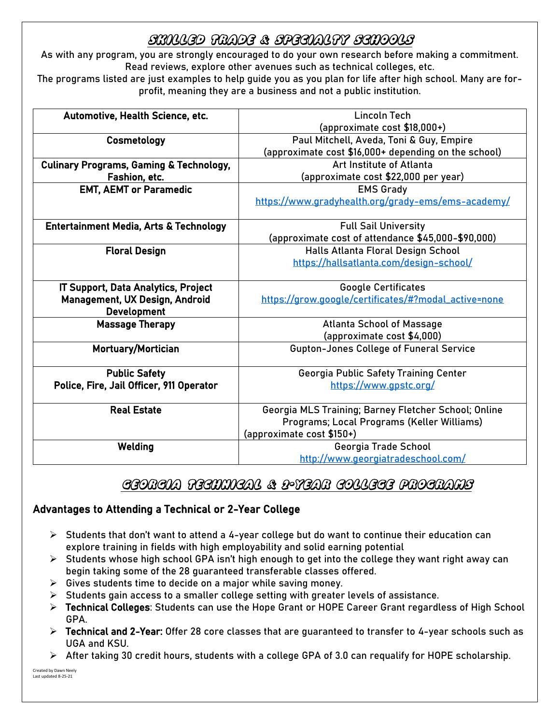# Skilled Trade & specialty schools

As with any program, you are strongly encouraged to do your own research before making a commitment. Read reviews, explore other avenues such as technical colleges, etc.

The programs listed are just examples to help guide you as you plan for life after high school. Many are forprofit, meaning they are a business and not a public institution.

| Automotive, Health Science, etc.                   | Lincoln Tech                                         |
|----------------------------------------------------|------------------------------------------------------|
|                                                    | (approximate cost \$18,000+)                         |
| Cosmetology                                        | Paul Mitchell, Aveda, Toni & Guy, Empire             |
|                                                    | (approximate cost \$16,000+ depending on the school) |
| <b>Culinary Programs, Gaming &amp; Technology,</b> | Art Institute of Atlanta                             |
| Fashion, etc.                                      | (approximate cost \$22,000 per year)                 |
| <b>EMT, AEMT or Paramedic</b>                      | <b>EMS Grady</b>                                     |
|                                                    | https://www.gradyhealth.org/grady-ems/ems-academy/   |
|                                                    |                                                      |
| Entertainment Media, Arts & Technology             | <b>Full Sail University</b>                          |
|                                                    | (approximate cost of attendance \$45,000-\$90,000)   |
| <b>Floral Design</b>                               | Halls Atlanta Floral Design School                   |
|                                                    | https://hallsatlanta.com/design-school/              |
|                                                    |                                                      |
| <b>IT Support, Data Analytics, Project</b>         | <b>Google Certificates</b>                           |
| Management, UX Design, Android                     | https://grow.google/certificates/#?modal_active=none |
| <b>Development</b>                                 |                                                      |
| <b>Massage Therapy</b>                             | <b>Atlanta School of Massage</b>                     |
|                                                    | (approximate cost \$4,000)                           |
| <b>Mortuary/Mortician</b>                          | <b>Gupton-Jones College of Funeral Service</b>       |
|                                                    |                                                      |
| <b>Public Safety</b>                               | Georgia Public Safety Training Center                |
| Police, Fire, Jail Officer, 911 Operator           | https://www.gpstc.org/                               |
| <b>Real Estate</b>                                 | Georgia MLS Training; Barney Fletcher School; Online |
|                                                    | Programs; Local Programs (Keller Williams)           |
|                                                    | (approximate cost \$150+)                            |
| Welding                                            | Georgia Trade School                                 |
|                                                    | http://www.georgiatradeschool.com/                   |

# Georgia Technical & 2-Year College Programs

# Advantages to Attending a Technical or 2-Year College

- $\triangleright$  Students that don't want to attend a 4-year college but do want to continue their education can explore training in fields with high employability and solid earning potential
- $\triangleright$  Students whose high school GPA isn't high enough to get into the college they want right away can begin taking some of the 28 guaranteed transferable classes offered.
- $\triangleright$  Gives students time to decide on a major while saving money.
- $\triangleright$  Students gain access to a smaller college setting with greater levels of assistance.
- ➢ Technical Colleges: Students can use the Hope Grant or HOPE Career Grant regardless of High School GPA.
- ➢ Technical and 2-Year: Offer 28 core classes that are guaranteed to transfer to 4-year schools such as UGA and KSU.
- $\triangleright$  After taking 30 credit hours, students with a college GPA of 3.0 can requalify for HOPE scholarship.

Created by Dawn Neely Last updated 8-25-21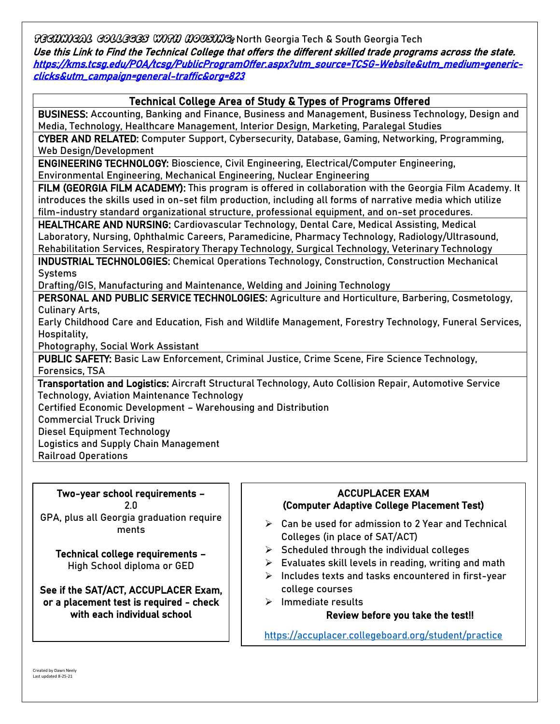TGGOOOGAG GOCCGGGS WOM DOOSOG North Georgia Tech & South Georgia Tech Use this Link to Find the Technical College that offers the different skilled trade programs across the state. [https://kms.tcsg.edu/POA/tcsg/PublicProgramOffer.aspx?utm\\_source=TCSG-Website&utm\\_medium=generic](https://kms.tcsg.edu/POA/tcsg/PublicProgramOffer.aspx?utm_source=TCSG-Website&utm_medium=generic-clicks&utm_campaign=general-traffic&org=823)[clicks&utm\\_campaign=general-traffic&org=823](https://kms.tcsg.edu/POA/tcsg/PublicProgramOffer.aspx?utm_source=TCSG-Website&utm_medium=generic-clicks&utm_campaign=general-traffic&org=823) 

# Technical College Area of Study & Types of Programs Offered

BUSINESS: Accounting, Banking and Finance, Business and Management, Business Technology, Design and Media, Technology, Healthcare Management, Interior Design, Marketing, Paralegal Studies

CYBER AND RELATED: Computer Support, Cybersecurity, Database, Gaming, Networking, Programming, Web Design/Development

ENGINEERING TECHNOLOGY: Bioscience, Civil Engineering, Electrical/Computer Engineering, Environmental Engineering, Mechanical Engineering, Nuclear Engineering

FILM (GEORGIA FILM ACADEMY): This program is offered in collaboration with the Georgia Film Academy. It introduces the skills used in on-set film production, including all forms of narrative media which utilize film-industry standard organizational structure, professional equipment, and on-set procedures.

HEALTHCARE AND NURSING: Cardiovascular Technology, Dental Care, Medical Assisting, Medical Laboratory, Nursing, Ophthalmic Careers, Paramedicine, Pharmacy Technology, Radiology/Ultrasound, Rehabilitation Services, Respiratory Therapy Technology, Surgical Technology, Veterinary Technology

INDUSTRIAL TECHNOLOGIES: Chemical Operations Technology, Construction, Construction Mechanical Systems

Drafting/GIS, Manufacturing and Maintenance, Welding and Joining Technology

PERSONAL AND PUBLIC SERVICE TECHNOLOGIES: Agriculture and Horticulture, Barbering, Cosmetology, Culinary Arts,

Early Childhood Care and Education, Fish and Wildlife Management, Forestry Technology, Funeral Services, Hospitality,

Photography, Social Work Assistant

PUBLIC SAFETY: Basic Law Enforcement, Criminal Justice, Crime Scene, Fire Science Technology, Forensics, TSA

Transportation and Logistics: Aircraft Structural Technology, Auto Collision Repair, Automotive Service Technology, Aviation Maintenance Technology

Certified Economic Development – Warehousing and Distribution

Commercial Truck Driving

Diesel Equipment Technology

Logistics and Supply Chain Management

Railroad Operations

Two-year school requirements – 2.0 GPA, plus all Georgia graduation require ments

Technical college requirements – High School diploma or GED

See if the SAT/ACT, ACCUPLACER Exam, or a placement test is required - check with each individual school

#### Ξ (Computer Adaptive College Placement Test) ACCUPLACER EXAM

- $\triangleright$  Can be used for admission to 2 Year and Technical Colleges (in place of SAT/ACT)
- $\triangleright$  Scheduled through the individual colleges
- ➢ Evaluates skill levels in reading, writing and math
- $\triangleright$  Includes texts and tasks encountered in first-year college courses
- Ï ➢ Immediate results

Review before you take the test!!

 <https://accuplacer.collegeboard.org/student/practice>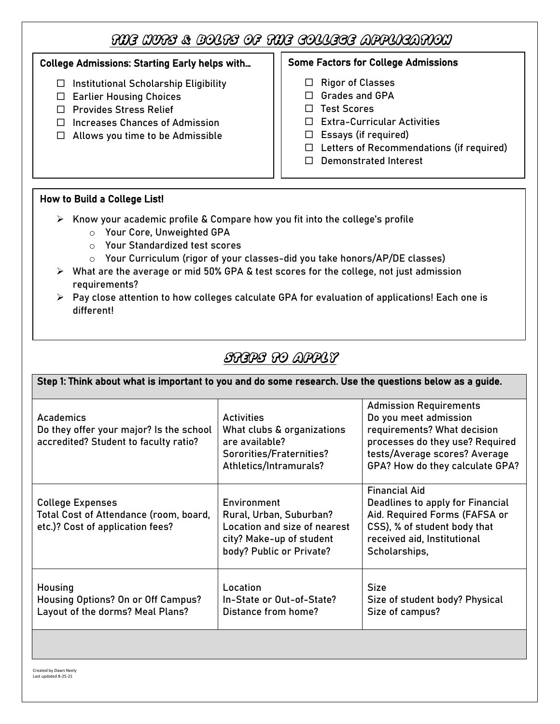# The Nuts & Bolts of the College Application

 $\overline{\phantom{a}}$  $\overline{\phantom{a}}$  $\overline{\phantom{a}}$  $\overline{\phantom{a}}$  $\overline{\phantom{a}}$ L

# College Admissions: Starting Early helps with…

- $\Box$  Institutional Scholarship Eligibility
- □ Earlier Housing Choices
- $\Box$  Provides Stress Relief
- $\Box$  Increases Chances of Admission
- $\Box$  Allows you time to be Admissible

#### $\overline{\Gamma}$  $\overline{\phantom{a}}$ Some Factors for College Admissions

- $\Box$  Rigor of Classes
- □ Grades and GPA
- $\Box$  Test Scores
- □ Extra-Curricular Activities
- $\Box$  Essays (if required)
- $\Box$  Letters of Recommendations (if required)
- D Demonstrated Interest

### How to Build a College List!

- ➢ Know your academic profile & Compare how you fit into the college's profile
	- o Your Core, Unweighted GPA
	- o Your Standardized test scores
	- $\circ$  Your Curriculum (rigor of your classes-did you take honors/AP/DE classes)
- $\triangleright$  What are the average or mid 50% GPA & test scores for the college, not just admission requirements?
- ➢ Pay close attention to how colleges calculate GPA for evaluation of applications! Each one is different!

# Steps to Apply

ł

| Step 1: Think about what is important to you and do some research. Use the questions below as a guide. |                                                                                                                                |                                                                                                                                                                                              |  |
|--------------------------------------------------------------------------------------------------------|--------------------------------------------------------------------------------------------------------------------------------|----------------------------------------------------------------------------------------------------------------------------------------------------------------------------------------------|--|
| Academics<br>Do they offer your major? Is the school<br>accredited? Student to faculty ratio?          | <b>Activities</b><br>What clubs & organizations<br>are available?<br>Sororities/Fraternities?<br>Athletics/Intramurals?        | <b>Admission Requirements</b><br>Do you meet admission<br>requirements? What decision<br>processes do they use? Required<br>tests/Average scores? Average<br>GPA? How do they calculate GPA? |  |
| <b>College Expenses</b><br>Total Cost of Attendance (room, board,<br>etc.)? Cost of application fees?  | Environment<br>Rural, Urban, Suburban?<br>Location and size of nearest<br>city? Make-up of student<br>body? Public or Private? | <b>Financial Aid</b><br>Deadlines to apply for Financial<br>Aid. Required Forms (FAFSA or<br>CSS), % of student body that<br>received aid, Institutional<br>Scholarships,                    |  |
| Housing<br><b>Housing Options? On or Off Campus?</b><br>Layout of the dorms? Meal Plans?               | Location<br>In-State or Out-of-State?<br>Distance from home?                                                                   | <b>Size</b><br>Size of student body? Physical<br>Size of campus?                                                                                                                             |  |
|                                                                                                        |                                                                                                                                |                                                                                                                                                                                              |  |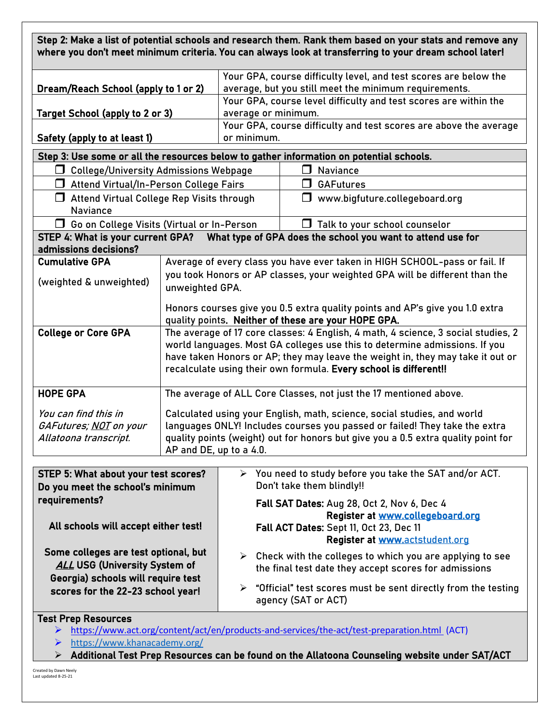| Step 2: Make a list of potential schools and research them. Rank them based on your stats and remove any<br>where you don't meet minimum criteria. You can always look at transferring to your dream school later! |                                                                                                                                                                                                                                                                                                                       |                     |                                                                                                                                                                                               |
|--------------------------------------------------------------------------------------------------------------------------------------------------------------------------------------------------------------------|-----------------------------------------------------------------------------------------------------------------------------------------------------------------------------------------------------------------------------------------------------------------------------------------------------------------------|---------------------|-----------------------------------------------------------------------------------------------------------------------------------------------------------------------------------------------|
| Dream/Reach School (apply to 1 or 2)                                                                                                                                                                               |                                                                                                                                                                                                                                                                                                                       |                     | Your GPA, course difficulty level, and test scores are below the<br>average, but you still meet the minimum requirements.<br>Your GPA, course level difficulty and test scores are within the |
| <b>Target School (apply to 2 or 3)</b>                                                                                                                                                                             |                                                                                                                                                                                                                                                                                                                       | average or minimum. |                                                                                                                                                                                               |
| Safety (apply to at least 1)                                                                                                                                                                                       |                                                                                                                                                                                                                                                                                                                       | or minimum.         | Your GPA, course difficulty and test scores are above the average                                                                                                                             |
|                                                                                                                                                                                                                    |                                                                                                                                                                                                                                                                                                                       |                     | Step 3: Use some or all the resources below to gather information on potential schools.                                                                                                       |
| <b>College/University Admissions Webpage</b><br>l I                                                                                                                                                                |                                                                                                                                                                                                                                                                                                                       |                     | Naviance                                                                                                                                                                                      |
| Attend Virtual/In-Person College Fairs<br>$\Box$                                                                                                                                                                   |                                                                                                                                                                                                                                                                                                                       |                     | <b>GAFutures</b>                                                                                                                                                                              |
| $\Box$<br><b>Naviance</b>                                                                                                                                                                                          | Attend Virtual College Rep Visits through                                                                                                                                                                                                                                                                             |                     | $\Box$ www.bigfuture.collegeboard.org                                                                                                                                                         |
| □ Go on College Visits (Virtual or In-Person                                                                                                                                                                       |                                                                                                                                                                                                                                                                                                                       |                     | $\Box$<br>Talk to your school counselor                                                                                                                                                       |
| STEP 4: What is your current GPA?                                                                                                                                                                                  |                                                                                                                                                                                                                                                                                                                       |                     | What type of GPA does the school you want to attend use for                                                                                                                                   |
| admissions decisions?                                                                                                                                                                                              |                                                                                                                                                                                                                                                                                                                       |                     |                                                                                                                                                                                               |
| <b>Cumulative GPA</b><br>(weighted & unweighted)                                                                                                                                                                   | Average of every class you have ever taken in HIGH SCHOOL-pass or fail. If<br>you took Honors or AP classes, your weighted GPA will be different than the<br>unweighted GPA.                                                                                                                                          |                     |                                                                                                                                                                                               |
|                                                                                                                                                                                                                    | Honors courses give you 0.5 extra quality points and AP's give you 1.0 extra<br>quality points. Neither of these are your HOPE GPA.                                                                                                                                                                                   |                     |                                                                                                                                                                                               |
| <b>College or Core GPA</b>                                                                                                                                                                                         | The average of 17 core classes: 4 English, 4 math, 4 science, 3 social studies, 2<br>world languages. Most GA colleges use this to determine admissions. If you<br>have taken Honors or AP; they may leave the weight in, they may take it out or<br>recalculate using their own formula. Every school is different!! |                     |                                                                                                                                                                                               |
| <b>HOPE GPA</b>                                                                                                                                                                                                    | The average of ALL Core Classes, not just the 17 mentioned above.                                                                                                                                                                                                                                                     |                     |                                                                                                                                                                                               |
| You can find this in<br>GAFutures; NOT on your<br>Allatoona transcript.                                                                                                                                            | Calculated using your English, math, science, social studies, and world<br>languages ONLY! Includes courses you passed or failed! They take the extra<br>quality points (weight) out for honors but give you a 0.5 extra quality point for<br>AP and DE, up to a 4.0.                                                 |                     |                                                                                                                                                                                               |
| STEP 5: What about your test scores?                                                                                                                                                                               |                                                                                                                                                                                                                                                                                                                       |                     | $\triangleright$ You need to study before you take the SAT and/or ACT.                                                                                                                        |
| Do you meet the school's minimum                                                                                                                                                                                   |                                                                                                                                                                                                                                                                                                                       |                     | Don't take them blindly!!                                                                                                                                                                     |
| requirements?<br>All schools will accept either test!                                                                                                                                                              |                                                                                                                                                                                                                                                                                                                       |                     | Fall SAT Dates: Aug 28, Oct 2, Nov 6, Dec 4<br>Register at www.collegeboard.org<br>Fall ACT Dates: Sept 11, Oct 23, Dec 11<br>Register at www.actstudent.org                                  |
| Some colleges are test optional, but<br><b>ALL USG (University System of</b><br>Georgia) schools will require test                                                                                                 |                                                                                                                                                                                                                                                                                                                       | ≻                   | Check with the colleges to which you are applying to see<br>the final test date they accept scores for admissions                                                                             |
| scores for the 22-23 school year!                                                                                                                                                                                  |                                                                                                                                                                                                                                                                                                                       | ➤                   | "Official" test scores must be sent directly from the testing<br>agency (SAT or ACT)                                                                                                          |
| <b>Test Prep Resources</b>                                                                                                                                                                                         |                                                                                                                                                                                                                                                                                                                       |                     |                                                                                                                                                                                               |
|                                                                                                                                                                                                                    |                                                                                                                                                                                                                                                                                                                       |                     | > https://www.act.org/content/act/en/products-and-services/the-act/test-preparation.html (ACT)                                                                                                |

➢ <https://www.khanacademy.org/>

 $\triangleright$  Additional Test Prep Resources can be found on the Allatoona Counseling website under SAT/ACT

Created by Dawn Neely Last updated 8-25-21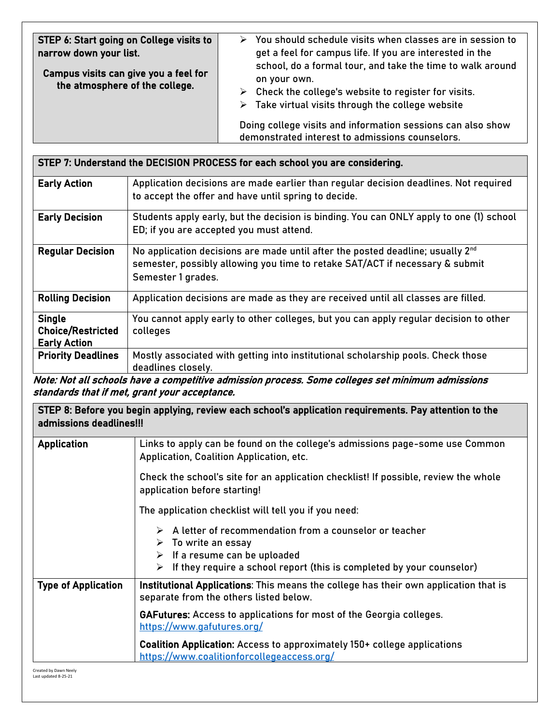| STEP 7: Understand the DECISION PROCESS for each school you are considering. |                                                                                                                                                                                                  |  |
|------------------------------------------------------------------------------|--------------------------------------------------------------------------------------------------------------------------------------------------------------------------------------------------|--|
| <b>Early Action</b>                                                          | Application decisions are made earlier than regular decision deadlines. Not required<br>to accept the offer and have until spring to decide.                                                     |  |
| <b>Early Decision</b>                                                        | Students apply early, but the decision is binding. You can ONLY apply to one (1) school<br>ED; if you are accepted you must attend.                                                              |  |
| <b>Regular Decision</b>                                                      | No application decisions are made until after the posted deadline; usually 2 <sup>nd</sup><br>semester, possibly allowing you time to retake SAT/ACT if necessary & submit<br>Semester 1 grades. |  |
| <b>Rolling Decision</b>                                                      | Application decisions are made as they are received until all classes are filled.                                                                                                                |  |
| <b>Single</b><br><b>Choice/Restricted</b><br><b>Early Action</b>             | You cannot apply early to other colleges, but you can apply regular decision to other<br>colleges                                                                                                |  |
| <b>Priority Deadlines</b>                                                    | Mostly associated with getting into institutional scholarship pools. Check those<br>deadlines closely.                                                                                           |  |

Note: Not all schools have a competitive admission process. Some colleges set minimum admissions standards that if met, grant your acceptance.

STEP 8: Before you begin applying, review each school's application requirements. Pay attention to the admissions deadlines!!!

| <b>Application</b>              | Links to apply can be found on the college's admissions page-some use Common<br>Application, Coalition Application, etc.                                                                                                                                |
|---------------------------------|---------------------------------------------------------------------------------------------------------------------------------------------------------------------------------------------------------------------------------------------------------|
|                                 | Check the school's site for an application checklist! If possible, review the whole<br>application before starting!                                                                                                                                     |
|                                 | The application checklist will tell you if you need:                                                                                                                                                                                                    |
|                                 | $\triangleright$ A letter of recommendation from a counselor or teacher<br>$\triangleright$ To write an essay<br>$\triangleright$ If a resume can be uploaded<br>$\triangleright$ If they require a school report (this is completed by your counselor) |
| <b>Type of Application</b>      | Institutional Applications: This means the college has their own application that is<br>separate from the others listed below.                                                                                                                          |
|                                 | <b>GAFutures:</b> Access to applications for most of the Georgia colleges.<br>https://www.gafutures.org/                                                                                                                                                |
|                                 | Coalition Application: Access to approximately 150+ college applications<br>https://www.coalitionforcollegeaccess.org/                                                                                                                                  |
| Concerted from Process Atlantic |                                                                                                                                                                                                                                                         |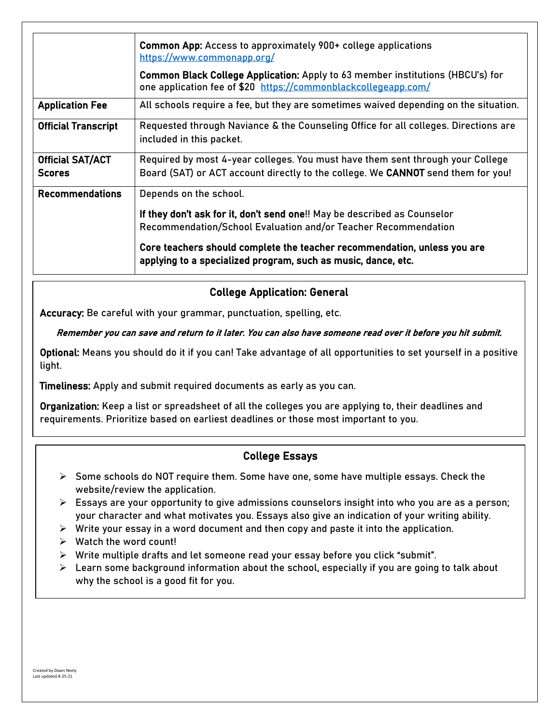|                                          | <b>Common App:</b> Access to approximately 900+ college applications<br>https://www.commonapp.org/                                                                 |
|------------------------------------------|--------------------------------------------------------------------------------------------------------------------------------------------------------------------|
|                                          | Common Black College Application: Apply to 63 member institutions (HBCU's) for<br>one application fee of \$20 https://commonblackcollegeapp.com/                   |
| <b>Application Fee</b>                   | All schools require a fee, but they are sometimes waived depending on the situation.                                                                               |
| <b>Official Transcript</b>               | Requested through Naviance & the Counseling Office for all colleges. Directions are<br>included in this packet.                                                    |
| <b>Official SAT/ACT</b><br><b>Scores</b> | Required by most 4-year colleges. You must have them sent through your College<br>Board (SAT) or ACT account directly to the college. We CANNOT send them for you! |
| <b>Recommendations</b>                   | Depends on the school.                                                                                                                                             |
|                                          | If they don't ask for it, don't send one!! May be described as Counselor<br>Recommendation/School Evaluation and/or Teacher Recommendation                         |
|                                          | Core teachers should complete the teacher recommendation, unless you are<br>applying to a specialized program, such as music, dance, etc.                          |

# College Application: General

Accuracy: Be careful with your grammar, punctuation, spelling, etc.

#### Remember you can save and return to it later. You can also have someone read over it before you hit submit.

Optional: Means you should do it if you can! Take advantage of all opportunities to set yourself in a positive light.

Timeliness: Apply and submit required documents as early as you can.

Organization: Keep a list or spreadsheet of all the colleges you are applying to, their deadlines and requirements. Prioritize based on earliest deadlines or those most important to you.

### College Essays

- ➢ Some schools do NOT require them. Some have one, some have multiple essays. Check the website/review the application.
- ➢ Essays are your opportunity to give admissions counselors insight into who you are as a person; your character and what motivates you. Essays also give an indication of your writing ability.
- $\triangleright$  Write your essay in a word document and then copy and paste it into the application.
- $\triangleright$  Watch the word count!
- ➢ Write multiple drafts and let someone read your essay before you click "submit".
- ➢ Learn some background information about the school, especially if you are going to talk about why the school is a good fit for you.

 $\overline{a}$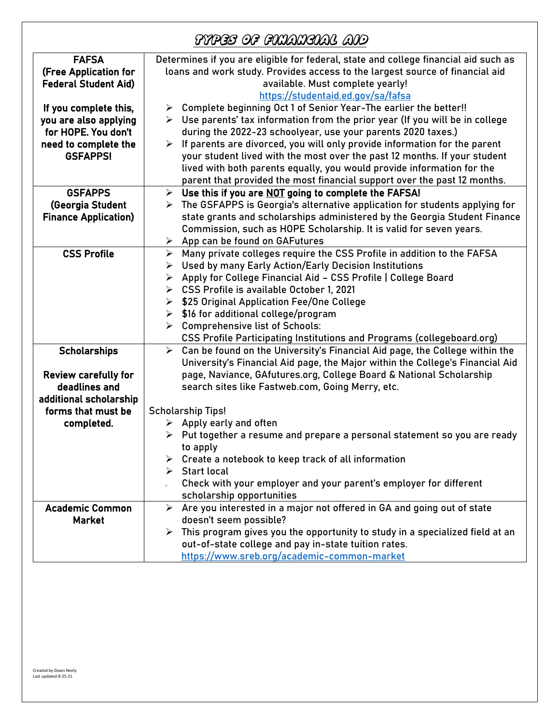|                                                                                                                  | FYPES OF FINANGIAL AID                                                                                                                                                                                                                                                                                                                                                                                                                                                                                                                                     |
|------------------------------------------------------------------------------------------------------------------|------------------------------------------------------------------------------------------------------------------------------------------------------------------------------------------------------------------------------------------------------------------------------------------------------------------------------------------------------------------------------------------------------------------------------------------------------------------------------------------------------------------------------------------------------------|
| <b>FAFSA</b><br>(Free Application for<br><b>Federal Student Aid)</b>                                             | Determines if you are eligible for federal, state and college financial aid such as<br>loans and work study. Provides access to the largest source of financial aid<br>available. Must complete yearly!<br>https://studentaid.ed.gov/sa/fafsa                                                                                                                                                                                                                                                                                                              |
| If you complete this,<br>you are also applying<br>for HOPE. You don't<br>need to complete the<br><b>GSFAPPS!</b> | Complete beginning Oct 1 of Senior Year-The earlier the better!!<br>➤<br>$\triangleright$ Use parents' tax information from the prior year (If you will be in college<br>during the 2022-23 schoolyear, use your parents 2020 taxes.)<br>If parents are divorced, you will only provide information for the parent<br>≻<br>your student lived with the most over the past 12 months. If your student<br>lived with both parents equally, you would provide information for the<br>parent that provided the most financial support over the past 12 months. |
| <b>GSFAPPS</b><br>(Georgia Student<br><b>Finance Application)</b>                                                | Use this if you are NOT going to complete the FAFSA!<br>$\blacktriangleright$<br>The GSFAPPS is Georgia's alternative application for students applying for<br>➤<br>state grants and scholarships administered by the Georgia Student Finance<br>Commission, such as HOPE Scholarship. It is valid for seven years.<br>App can be found on GAFutures<br>➤                                                                                                                                                                                                  |
| <b>CSS Profile</b>                                                                                               | Many private colleges require the CSS Profile in addition to the FAFSA<br>≻<br>Used by many Early Action/Early Decision Institutions<br>➤<br>> Apply for College Financial Aid - CSS Profile   College Board<br>> CSS Profile is available October 1, 2021<br>▶ \$25 Original Application Fee/One College<br>\$16 for additional college/program<br>≻<br><b>Comprehensive list of Schools:</b><br>➤<br>CSS Profile Participating Institutions and Programs (collegeboard.org)                                                                              |
| <b>Scholarships</b><br><b>Review carefully for</b><br>deadlines and<br>additional scholarship                    | Can be found on the University's Financial Aid page, the College within the<br>$\blacktriangleright$<br>University's Financial Aid page, the Major within the College's Financial Aid<br>page, Naviance, GAfutures.org, College Board & National Scholarship<br>search sites like Fastweb.com, Going Merry, etc.                                                                                                                                                                                                                                           |
| forms that must be<br>completed.                                                                                 | <b>Scholarship Tips!</b><br>$\triangleright$ Apply early and often<br>$\triangleright$ Put together a resume and prepare a personal statement so you are ready<br>to apply<br>$\triangleright$ Create a notebook to keep track of all information<br>$\triangleright$ Start local<br>Check with your employer and your parent's employer for different<br>scholarship opportunities                                                                                                                                                                        |
| <b>Academic Common</b><br><b>Market</b>                                                                          | $\triangleright$ Are you interested in a major not offered in GA and going out of state<br>doesn't seem possible?<br>This program gives you the opportunity to study in a specialized field at an<br>➤<br>out-of-state college and pay in-state tuition rates.<br>https://www.sreb.org/academic-common-market                                                                                                                                                                                                                                              |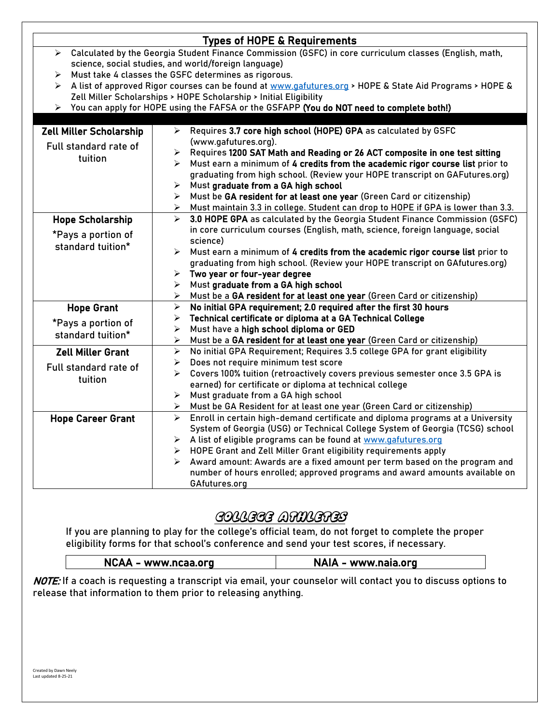|                                                                                                                                 | <b>Types of HOPE &amp; Requirements</b>                                                                 |  |  |
|---------------------------------------------------------------------------------------------------------------------------------|---------------------------------------------------------------------------------------------------------|--|--|
| Calculated by the Georgia Student Finance Commission (GSFC) in core curriculum classes (English, math,<br>$\blacktriangleright$ |                                                                                                         |  |  |
|                                                                                                                                 | science, social studies, and world/foreign language)                                                    |  |  |
| ➤                                                                                                                               | Must take 4 classes the GSFC determines as rigorous.                                                    |  |  |
| ➤                                                                                                                               | A list of approved Rigor courses can be found at www.gafutures.org > HOPE & State Aid Programs > HOPE & |  |  |
|                                                                                                                                 | Zell Miller Scholarships > HOPE Scholarship > Initial Eligibility                                       |  |  |
|                                                                                                                                 | > You can apply for HOPE using the FAFSA or the GSFAPP (You do NOT need to complete both!)              |  |  |
|                                                                                                                                 |                                                                                                         |  |  |
| <b>Zell Miller Scholarship</b>                                                                                                  | Requires 3.7 core high school (HOPE) GPA as calculated by GSFC<br>≻                                     |  |  |
| Full standard rate of                                                                                                           | (www.gafutures.org).                                                                                    |  |  |
| tuition                                                                                                                         | Requires 1200 SAT Math and Reading or 26 ACT composite in one test sitting<br>➤                         |  |  |
|                                                                                                                                 | Must earn a minimum of 4 credits from the academic rigor course list prior to<br>➤                      |  |  |
|                                                                                                                                 | graduating from high school. (Review your HOPE transcript on GAFutures.org)                             |  |  |
|                                                                                                                                 | $\blacktriangleright$<br>Must graduate from a GA high school                                            |  |  |
|                                                                                                                                 | Must be GA resident for at least one year (Green Card or citizenship)<br>➤                              |  |  |
|                                                                                                                                 | Must maintain 3.3 in college. Student can drop to HOPE if GPA is lower than 3.3.<br>➤                   |  |  |
| <b>Hope Scholarship</b>                                                                                                         | 3.0 HOPE GPA as calculated by the Georgia Student Finance Commission (GSFC)<br>$\blacktriangleright$    |  |  |
| *Pays a portion of                                                                                                              | in core curriculum courses (English, math, science, foreign language, social                            |  |  |
| standard tuition*                                                                                                               | science)                                                                                                |  |  |
|                                                                                                                                 | Must earn a minimum of 4 credits from the academic rigor course list prior to<br>$\blacktriangleright$  |  |  |
|                                                                                                                                 | graduating from high school. (Review your HOPE transcript on GAfutures.org)                             |  |  |
|                                                                                                                                 | Two year or four-year degree<br>≻                                                                       |  |  |
|                                                                                                                                 | Must graduate from a GA high school<br>➤                                                                |  |  |
|                                                                                                                                 | Must be a GA resident for at least one year (Green Card or citizenship)<br>≻                            |  |  |
| <b>Hope Grant</b>                                                                                                               | No initial GPA requirement; 2.0 required after the first 30 hours<br>➤                                  |  |  |
| *Pays a portion of                                                                                                              | Technical certificate or diploma at a GA Technical College<br>➤                                         |  |  |
|                                                                                                                                 | $\blacktriangleright$<br>Must have a high school diploma or GED                                         |  |  |
| standard tuition*                                                                                                               | Must be a GA resident for at least one year (Green Card or citizenship)<br>≻                            |  |  |
| <b>Zell Miller Grant</b>                                                                                                        | $\blacktriangleright$<br>No initial GPA Requirement; Requires 3.5 college GPA for grant eligibility     |  |  |
| Full standard rate of                                                                                                           | Does not require minimum test score<br>➤                                                                |  |  |
|                                                                                                                                 | Covers 100% tuition (retroactively covers previous semester once 3.5 GPA is<br>➤                        |  |  |
| tuition                                                                                                                         | earned) for certificate or diploma at technical college                                                 |  |  |
|                                                                                                                                 | Must graduate from a GA high school<br>$\blacktriangleright$                                            |  |  |
|                                                                                                                                 | Must be GA Resident for at least one year (Green Card or citizenship)<br>➤                              |  |  |
| <b>Hope Career Grant</b>                                                                                                        | Enroll in certain high-demand certificate and diploma programs at a University<br>$\blacktriangleright$ |  |  |
|                                                                                                                                 | System of Georgia (USG) or Technical College System of Georgia (TCSG) school                            |  |  |
|                                                                                                                                 | > A list of eligible programs can be found at www.gafutures.org                                         |  |  |
|                                                                                                                                 | HOPE Grant and Zell Miller Grant eligibility requirements apply<br>≻                                    |  |  |
|                                                                                                                                 | Award amount: Awards are a fixed amount per term based on the program and<br>$\blacktriangleright$      |  |  |
|                                                                                                                                 | number of hours enrolled; approved programs and award amounts available on                              |  |  |
|                                                                                                                                 | GAfutures.org                                                                                           |  |  |

# College Athletes

If you are planning to play for the college's official team, do not forget to complete the proper eligibility forms for that school's conference and send your test scores, if necessary.

| NCAA - www.ncaa.org | NAIA - www.naia.org |
|---------------------|---------------------|
|---------------------|---------------------|

NOTE: If a coach is requesting a transcript via email, your counselor will contact you to discuss options to release that information to them prior to releasing anything.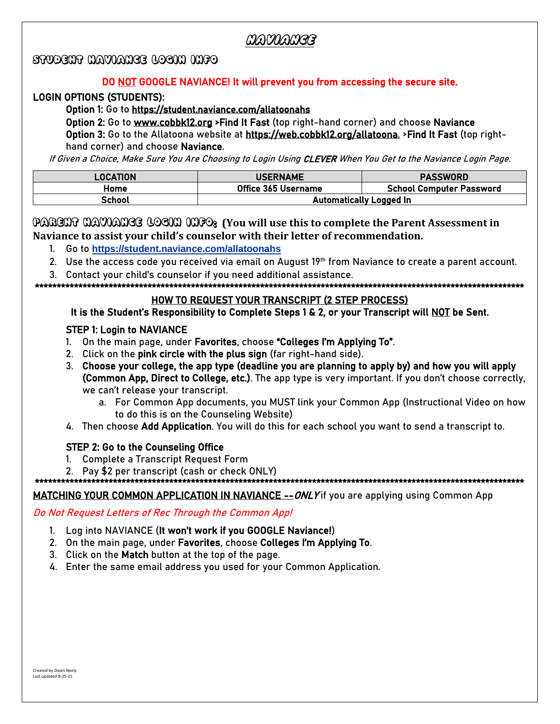# Naviance

# STUDENT NAVIANCE LOGIN INFO

#### DO NOT GOOGLE NAVIANCE! It will prevent you from accessing the secure site.

#### LOGIN OPTIONS (STUDENTS):

#### Option 1: Go to <https://student.naviance.com/allatoonahs>

 Option 2: Go to [www.cobbk12.org](http://www.cobbk12.org/) >Find It Fast (top right-hand corner) and choose Naviance Option 3: Go to the Allatoona website at [https://web.cobbk12.org/allatoona.](https://web.cobbk12.org/allatoona) >Find It Fast (top righthand corner) and choose Naviance.

If Given a Choice, Make Sure You Are Choosing to Login Using CLEVER When You Get to the Naviance Login Page.

| LOCATION | <b>USERNAME</b>                | <b>PASSWORD</b>                 |
|----------|--------------------------------|---------------------------------|
| Home     | Office 365 Username            | <b>School Computer Password</b> |
| School   | <b>Automatically Logged In</b> |                                 |

#### PARENT NAVIANCE LOGIN INFO: **(You will use this to complete the Parent Assessment in Naviance to assist your child's counselor with their letter of recommendation.**

- 1. Go to **<https://student.naviance.com/allatoonahs>**
- 2. Use the access code you received via email on August 19<sup>th</sup> from Naviance to create a parent account.
- 3. Contact your child's counselor if you need additional assistance.

\*\*\*\*\*\*\*\*\*\*\*\*\*\*\*\*\*\*\*\*\*\*\*\*\*\*\*\*\*\*\*\*\*\*\*\*\*\*\*\*\*\*\*\*\*\*\*\*\*\*\*\*\*\*\*\*\*\*\*\*\*\*\*\*\*\*\*\*\*\*\*\*\*\*\*\*\*\*\*\*\*\*\*\*\*\*\*\*\*\*\*\*\*\*\*\*\*\*\*\*\*\*\*\*\*\*\*\*\*\*\*\*\*

#### HOW TO REQUEST YOUR TRANSCRIPT (2 STEP PROCESS)

#### It is the Student's Responsibility to Complete Steps 1 & 2, or your Transcript will NOT be Sent.

#### STEP 1: Login to NAVIANCE

- 1. On the main page, under Favorites, choose "Colleges I'm Applying To".
- 2. Click on the pink circle with the plus sign (far right-hand side).
- 3. Choose your college, the app type (deadline you are planning to apply by) and how you will apply (Common App, Direct to College, etc.). The app type is very important. If you don't choose correctly, we can't release your transcript.
	- a. For Common App documents, you MUST link your Common App (Instructional Video on how to do this is on the Counseling Website)
- 4. Then choose Add Application. You will do this for each school you want to send a transcript to.

### STEP 2: Go to the Counseling Office

- 1. Complete a Transcript Request Form
- 2. Pay \$2 per transcript (cash or check ONLY)

#### \*\*\*\*\*\*\*\*\*\*\*\*\*\*\*\*\*\*\*\*\*\*\*\*\*\*\*\*\*\*\*\*\*\*\*\*\*\*\*\*\*\*\*\*\*\*\*\*\*\*\*\*\*\*\*\*\*\*\*\*\*\*\*\*\*\*\*\*\*\*\*\*\*\*\*\*\*\*\*\*\*\*\*\*\*\*\*\*\*\*\*\*\*\*\*\*\*\*\*\*\*\*\*\*\*\*\*\*\*\*\*\*\*

#### MATCHING YOUR COMMON APPLICATION IN NAVIANCE -- ONLY if you are applying using Common App

#### Do Not Request Letters of Rec Through the Common App!

- 1. Log into NAVIANCE (It won't work if you GOOGLE Naviance!)
- 2. On the main page, under Favorites, choose Colleges I'm Applying To.
- 3. Click on the Match button at the top of the page.
- 4. Enter the same email address you used for your Common Application.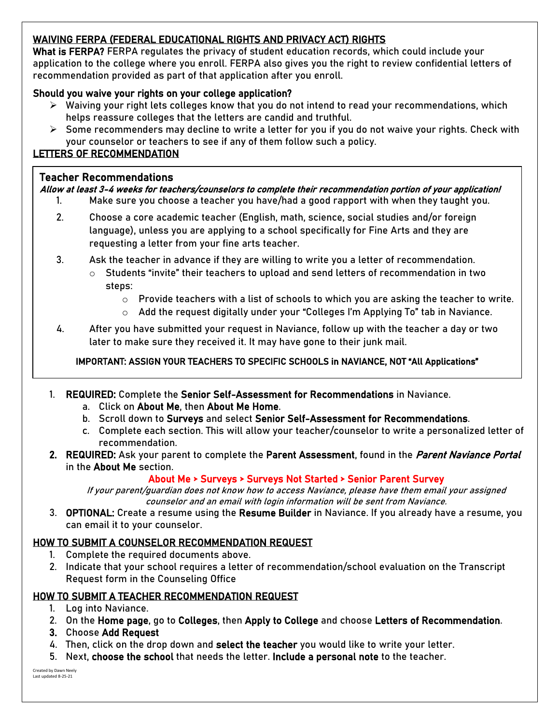# WAIVING FERPA (FEDERAL [EDUCATIONAL RIGHTS AND PRIVACY ACT\)](https://www2.ed.gov/policy/gen/guid/fpco/ferpa/index.html) RIGHTS

What is FERPA? FERPA regulates the privacy of student education records, which could include your application to the college where you enroll. FERPA also gives you the right to review confidential letters of recommendation provided as part of that application after you enroll.

# Should you waive your rights on your college application?

- $\triangleright$  Waiving your right lets colleges know that you do not intend to read your recommendations, which helps reassure colleges that the letters are candid and truthful.
- $\triangleright$  Some recommenders may decline to write a letter for you if you do not waive your rights. Check with your counselor or teachers to see if any of them follow such a policy.

# LETTERS OF RECOMMENDATION

### Teacher Recommendations

### Allow at least 3-4 weeks for teachers/counselors to complete their recommendation portion of your application!

- 1. Make sure you choose a teacher you have/had a good rapport with when they taught you.
- 2. Choose a core academic teacher (English, math, science, social studies and/or foreign language), unless you are applying to a school specifically for Fine Arts and they are requesting a letter from your fine arts teacher.
- 3. Ask the teacher in advance if they are willing to write you a letter of recommendation.
	- $\circ$  Students "invite" their teachers to upload and send letters of recommendation in two steps:
		- $\circ$  Provide teachers with a list of schools to which you are asking the teacher to write.
		- o Add the request digitally under your "Colleges I'm Applying To" tab in Naviance.
- 4. After you have submitted your request in Naviance, follow up with the teacher a day or two later to make sure they received it. It may have gone to their junk mail.

# IMPORTANT: ASSIGN YOUR TEACHERS TO SPECIFIC SCHOOLS in NAVIANCE, NOT "All Applications"

- 1. REQUIRED: Complete the Senior Self-Assessment for Recommendations in Naviance.
	- a. Click on About Me, then About Me Home.
	- b. Scroll down to Surveys and select Senior Self-Assessment for Recommendations.
	- c. Complete each section. This will allow your teacher/counselor to write a personalized letter of recommendation.
- 2. REQUIRED: Ask your parent to complete the Parent Assessment, found in the *Parent Naviance Portal* in the About Me section.

### About Me > Surveys > Surveys Not Started > Senior Parent Survey

If your parent/guardian does not know how to access Naviance, please have them email your assigned counselor and an email with login information will be sent from Naviance.

3. OPTIONAL: Create a resume using the Resume Builder in Naviance. If you already have a resume, you can email it to your counselor.

# HOW TO SUBMIT A COUNSELOR RECOMMENDATION REQUEST

- 1. Complete the required documents above.
- 2. Indicate that your school requires a letter of recommendation/school evaluation on the Transcript Request form in the Counseling Office

# HOW TO SUBMIT A TEACHER RECOMMENDATION REQUEST

- 1. Log into Naviance.
- 2. On the Home page, go to Colleges, then Apply to College and choose Letters of Recommendation.
- 3. Choose Add Request
- 4. Then, click on the drop down and select the teacher you would like to write your letter.
- 5. Next, choose the school that needs the letter. Include a personal note to the teacher.

Created by Dawn Neely Last updated 8-25-21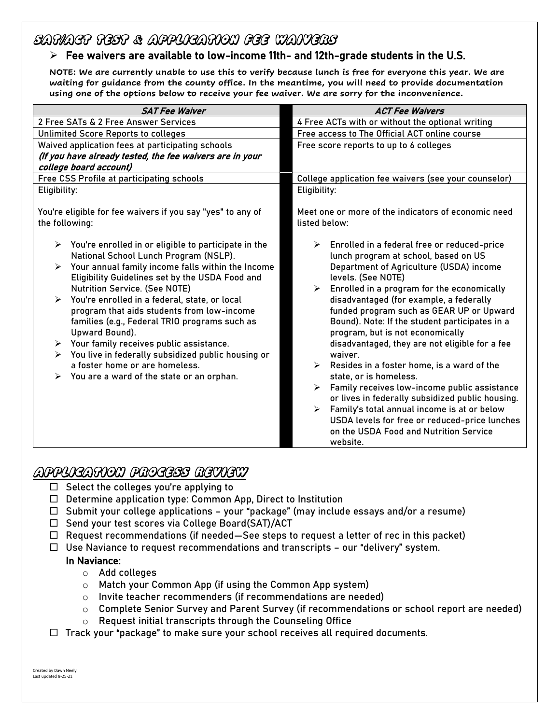# SAT/ACT Test & application Fee Waivers

# $\triangleright$  Fee waivers are available to low-income 11th- and 12th-grade students in the U.S.

**NOTE: We are currently unable to use this to verify because lunch is free for everyone this year. We are waiting for guidance from the county office. In the meantime, you will need to provide documentation using one of the options below to receive your fee waiver. We are sorry for the inconvenience.**

| <b>ACT Fee Waivers</b>                                                                                                                                                                                                                                                                                                                                                                                                                                                                                                                                                                                                                                                                                                                                                                   |
|------------------------------------------------------------------------------------------------------------------------------------------------------------------------------------------------------------------------------------------------------------------------------------------------------------------------------------------------------------------------------------------------------------------------------------------------------------------------------------------------------------------------------------------------------------------------------------------------------------------------------------------------------------------------------------------------------------------------------------------------------------------------------------------|
| 4 Free ACTs with or without the optional writing                                                                                                                                                                                                                                                                                                                                                                                                                                                                                                                                                                                                                                                                                                                                         |
| Free access to The Official ACT online course                                                                                                                                                                                                                                                                                                                                                                                                                                                                                                                                                                                                                                                                                                                                            |
| Free score reports to up to 6 colleges                                                                                                                                                                                                                                                                                                                                                                                                                                                                                                                                                                                                                                                                                                                                                   |
|                                                                                                                                                                                                                                                                                                                                                                                                                                                                                                                                                                                                                                                                                                                                                                                          |
|                                                                                                                                                                                                                                                                                                                                                                                                                                                                                                                                                                                                                                                                                                                                                                                          |
| College application fee waivers (see your counselor)                                                                                                                                                                                                                                                                                                                                                                                                                                                                                                                                                                                                                                                                                                                                     |
| Eligibility:                                                                                                                                                                                                                                                                                                                                                                                                                                                                                                                                                                                                                                                                                                                                                                             |
| Meet one or more of the indicators of economic need<br>listed below:                                                                                                                                                                                                                                                                                                                                                                                                                                                                                                                                                                                                                                                                                                                     |
| $\triangleright$ Enrolled in a federal free or reduced-price<br>lunch program at school, based on US<br>Department of Agriculture (USDA) income<br>levels. (See NOTE)<br>Enrolled in a program for the economically<br>disadvantaged (for example, a federally<br>funded program such as GEAR UP or Upward<br>Bound). Note: If the student participates in a<br>program, but is not economically<br>disadvantaged, they are not eligible for a fee<br>waiver.<br>$\triangleright$ Resides in a foster home, is a ward of the<br>state, or is homeless.<br>Family receives low-income public assistance<br>➤<br>or lives in federally subsidized public housing.<br>Family's total annual income is at or below<br>$\blacktriangleright$<br>USDA levels for free or reduced-price lunches |
|                                                                                                                                                                                                                                                                                                                                                                                                                                                                                                                                                                                                                                                                                                                                                                                          |

# Application Process REview

- $\Box$  Select the colleges you're applying to
- $\Box$  Determine application type: Common App, Direct to Institution
- $\Box$  Submit your college applications your "package" (may include essays and/or a resume)
- $\Box$  Send your test scores via College Board(SAT)/ACT
- $\Box$  Request recommendations (if needed—See steps to request a letter of rec in this packet)
- $\Box$  Use Naviance to request recommendations and transcripts our "delivery" system.

### In Naviance:

- o Add colleges
- o Match your Common App (if using the Common App system)
- o Invite teacher recommenders (if recommendations are needed)
- $\circ$  Complete Senior Survey and Parent Survey (if recommendations or school report are needed)
- o Request initial transcripts through the Counseling Office
- $\Box$  Track your "package" to make sure your school receives all required documents.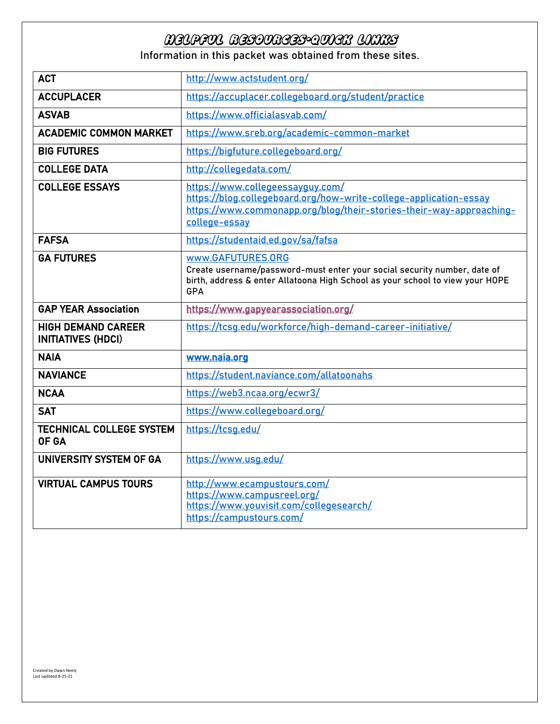# helpful Resources-quick links

Information in this packet was obtained from these sites.

| <b>ACT</b>                                             | http://www.actstudent.org/                                                                                                                                                                    |
|--------------------------------------------------------|-----------------------------------------------------------------------------------------------------------------------------------------------------------------------------------------------|
| <b>ACCUPLACER</b>                                      | https://accuplacer.collegeboard.org/student/practice                                                                                                                                          |
| <b>ASVAB</b>                                           | https://www.officialasvab.com/                                                                                                                                                                |
| <b>ACADEMIC COMMON MARKET</b>                          | https://www.sreb.org/academic-common-market                                                                                                                                                   |
| <b>BIG FUTURES</b>                                     | https://bigfuture.collegeboard.org/                                                                                                                                                           |
| <b>COLLEGE DATA</b>                                    | http://collegedata.com/                                                                                                                                                                       |
| <b>COLLEGE ESSAYS</b>                                  | https://www.collegeessayguy.com/<br>https://blog.collegeboard.org/how-write-college-application-essay<br>https://www.commonapp.org/blog/their-stories-their-way-approaching-<br>college-essay |
| <b>FAFSA</b>                                           | https://studentaid.ed.gov/sa/fafsa                                                                                                                                                            |
| <b>GA FUTURES</b>                                      | www.GAFUTURES.ORG<br>Create username/password-must enter your social security number, date of<br>birth, address & enter Allatoona High School as your school to view your HOPE<br>GPA         |
| <b>GAP YEAR Association</b>                            | https://www.gapyearassociation.org/                                                                                                                                                           |
| <b>HIGH DEMAND CAREER</b><br><b>INITIATIVES (HDCI)</b> | https://tcsq.edu/workforce/high-demand-career-initiative/                                                                                                                                     |
| <b>NAIA</b>                                            | www.naia.org                                                                                                                                                                                  |
| <b>NAVIANCE</b>                                        | https://student.naviance.com/allatoonahs                                                                                                                                                      |
| <b>NCAA</b>                                            | https://web3.ncaa.org/ecwr3/                                                                                                                                                                  |
| <b>SAT</b>                                             | https://www.collegeboard.org/                                                                                                                                                                 |
| <b>TECHNICAL COLLEGE SYSTEM</b><br>OF GA               | https://tcsg.edu/                                                                                                                                                                             |
| <b>UNIVERSITY SYSTEM OF GA</b>                         | https://www.usg.edu/                                                                                                                                                                          |
| <b>VIRTUAL CAMPUS TOURS</b>                            | http://www.ecampustours.com/<br>https://www.campusreel.org/<br>https://www.youvisit.com/collegesearch/<br>https://campustours.com/                                                            |